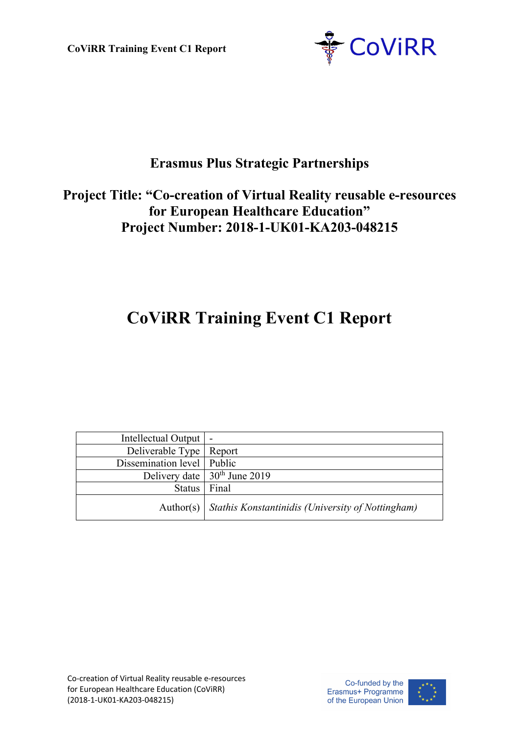**CoViRR Training Event C1 Report**



# **Erasmus Plus Strategic Partnerships**

# **Project Title: "Co-creation of Virtual Reality reusable e-resources for European Healthcare Education" Project Number: 2018-1-UK01-KA203-048215**

# **CoViRR Training Event C1 Report**

| Intellectual Output   -      |                                                               |
|------------------------------|---------------------------------------------------------------|
| Deliverable Type   Report    |                                                               |
| Dissemination level   Public |                                                               |
|                              | Delivery date $\frac{1}{20^{th}}$ June 2019                   |
| Status   Final               |                                                               |
|                              | Author(s)   Stathis Konstantinidis (University of Nottingham) |

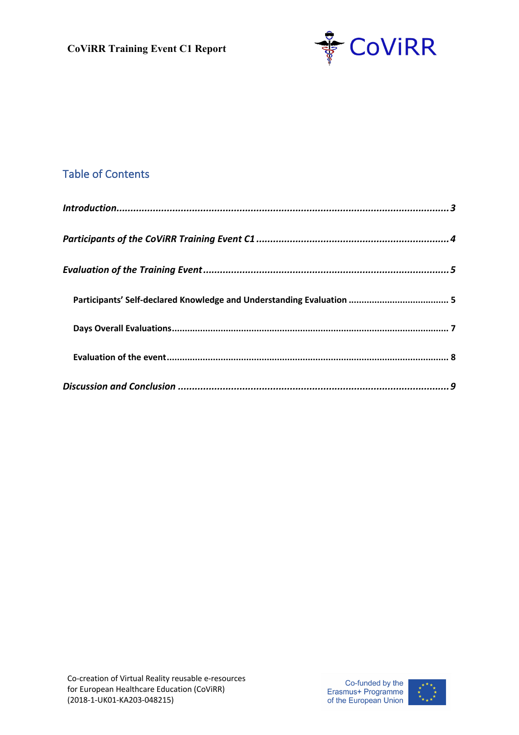

### Table of Contents

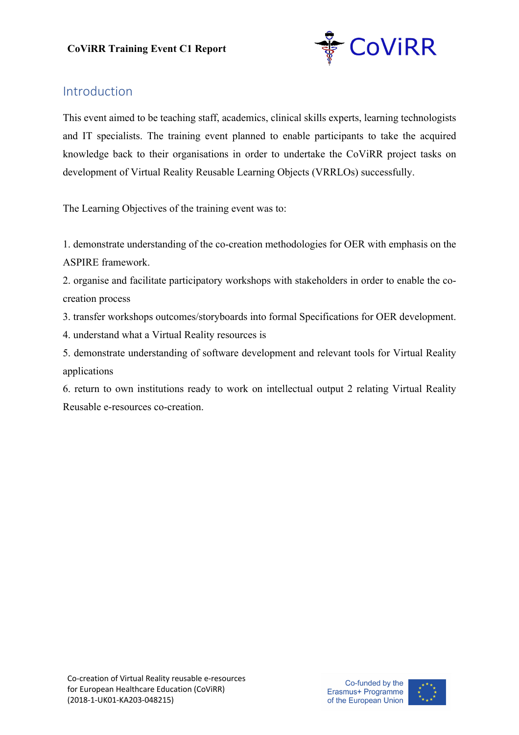

### Introduction

This event aimed to be teaching staff, academics, clinical skills experts, learning technologists and IT specialists. The training event planned to enable participants to take the acquired knowledge back to their organisations in order to undertake the CoViRR project tasks on development of Virtual Reality Reusable Learning Objects (VRRLOs) successfully.

The Learning Objectives of the training event was to:

1. demonstrate understanding of the co-creation methodologies for OER with emphasis on the ASPIRE framework.

2. organise and facilitate participatory workshops with stakeholders in order to enable the cocreation process

3. transfer workshops outcomes/storyboards into formal Specifications for OER development.

4. understand what a Virtual Reality resources is

5. demonstrate understanding of software development and relevant tools for Virtual Reality applications

6. return to own institutions ready to work on intellectual output 2 relating Virtual Reality Reusable e-resources co-creation.

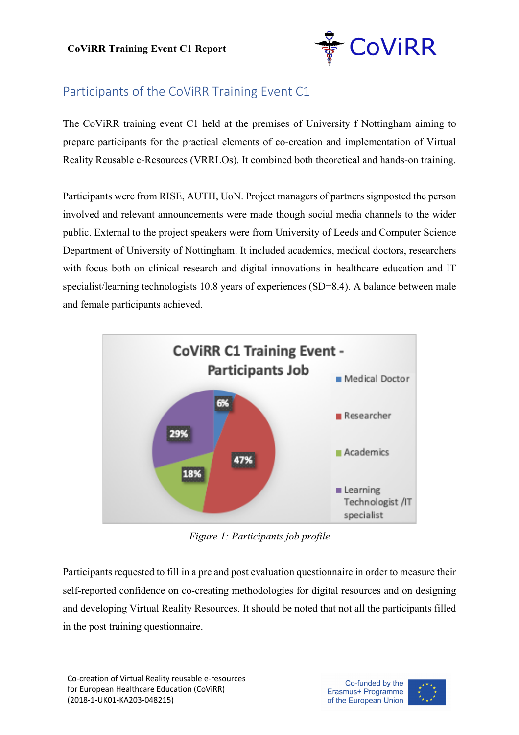

# Participants of the CoViRR Training Event C1

The CoViRR training event C1 held at the premises of University f Nottingham aiming to prepare participants for the practical elements of co-creation and implementation of Virtual Reality Reusable e-Resources (VRRLOs). It combined both theoretical and hands-on training.

Participants were from RISE, AUTH, UoN. Project managers of partners signposted the person involved and relevant announcements were made though social media channels to the wider public. External to the project speakers were from University of Leeds and Computer Science Department of University of Nottingham. It included academics, medical doctors, researchers with focus both on clinical research and digital innovations in healthcare education and IT specialist/learning technologists 10.8 years of experiences (SD=8.4). A balance between male and female participants achieved.



*Figure 1: Participants job profile*

Participants requested to fill in a pre and post evaluation questionnaire in order to measure their self-reported confidence on co-creating methodologies for digital resources and on designing and developing Virtual Reality Resources. It should be noted that not all the participants filled in the post training questionnaire.

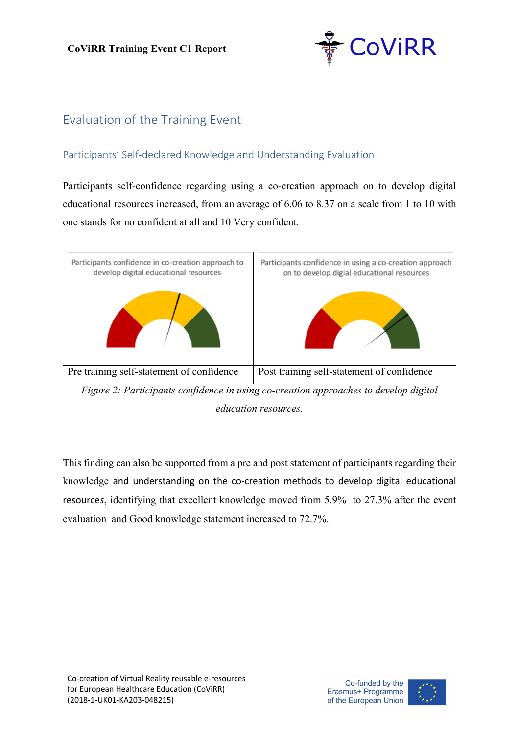

# Evaluation of the Training Event

### Participants' Self-declared Knowledge and Understanding Evaluation

Participants self-confidence regarding using a co-creation approach on to develop digital educational resources increased, from an average of 6.06 to 8.37 on a scale from 1 to 10 with one stands for no confident at all and 10 Very confident.



*Figure 2: Participants confidence in using co-creation approaches to develop digital education resources.*

This finding can also be supported from a pre and post statement of participants regarding their knowledge and understanding on the co-creation methods to develop digital educational resource*s*, identifying that excellent knowledge moved from 5.9% to 27.3% after the event evaluation and Good knowledge statement increased to 72.7%.

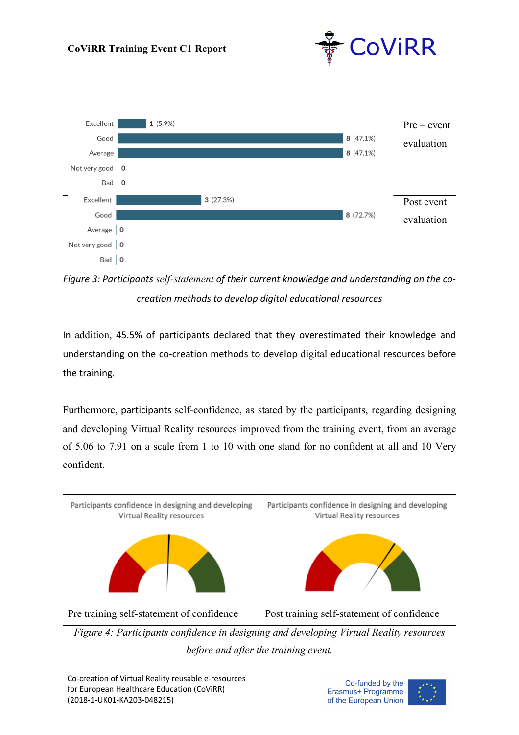



*Figure 3: Participants self-statement of their current knowledge and understanding on the cocreation methods to develop digital educational resources*

In addition, 45.5% of participants declared that they overestimated their knowledge and understanding on the co-creation methods to develop digital educational resources before the training.

Furthermore, participants self-confidence, as stated by the participants, regarding designing and developing Virtual Reality resources improved from the training event, from an average of 5.06 to 7.91 on a scale from 1 to 10 with one stand for no confident at all and 10 Very confident.



*Figure 4: Participants confidence in designing and developing Virtual Reality resources before and after the training event.*

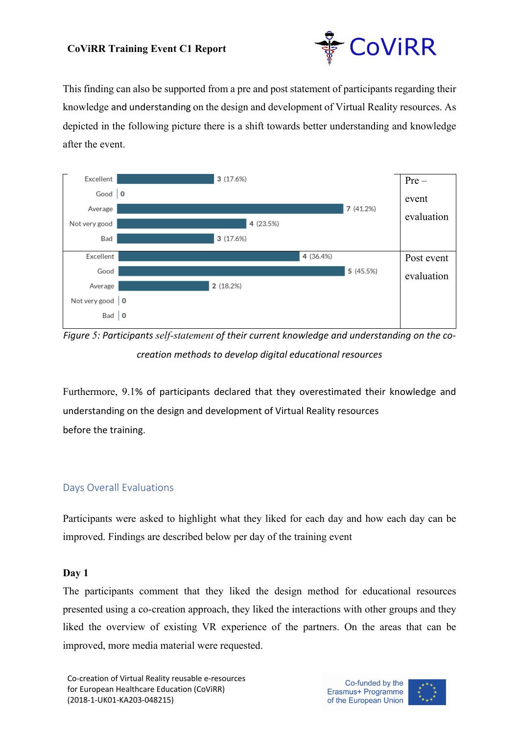#### **CoViRR Training Event C1 Report**



This finding can also be supported from a pre and post statement of participants regarding their knowledge and understanding on the design and development of Virtual Reality resources. As depicted in the following picture there is a shift towards better understanding and knowledge after the event.



*Figure 5: Participants self-statement of their current knowledge and understanding on the cocreation methods to develop digital educational resources*

Furthermore, 9.1% of participants declared that they overestimated their knowledge and understanding on the design and development of Virtual Reality resources before the training.

#### Days Overall Evaluations

Participants were asked to highlight what they liked for each day and how each day can be improved. Findings are described below per day of the training event

#### **Day 1**

The participants comment that they liked the design method for educational resources presented using a co-creation approach, they liked the interactions with other groups and they liked the overview of existing VR experience of the partners. On the areas that can be improved, more media material were requested.

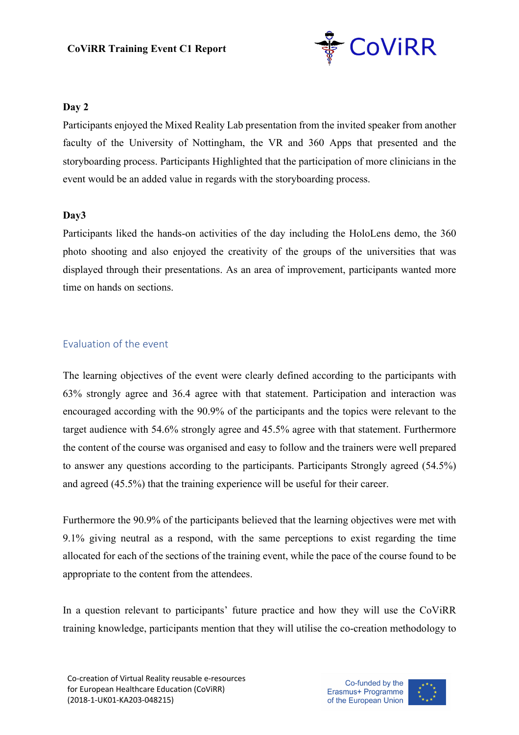

#### **Day 2**

Participants enjoyed the Mixed Reality Lab presentation from the invited speaker from another faculty of the University of Nottingham, the VR and 360 Apps that presented and the storyboarding process. Participants Highlighted that the participation of more clinicians in the event would be an added value in regards with the storyboarding process.

#### **Day3**

Participants liked the hands-on activities of the day including the HoloLens demo, the 360 photo shooting and also enjoyed the creativity of the groups of the universities that was displayed through their presentations. As an area of improvement, participants wanted more time on hands on sections.

#### Evaluation of the event

The learning objectives of the event were clearly defined according to the participants with 63% strongly agree and 36.4 agree with that statement. Participation and interaction was encouraged according with the 90.9% of the participants and the topics were relevant to the target audience with 54.6% strongly agree and 45.5% agree with that statement. Furthermore the content of the course was organised and easy to follow and the trainers were well prepared to answer any questions according to the participants. Participants Strongly agreed (54.5%) and agreed (45.5%) that the training experience will be useful for their career.

Furthermore the 90.9% of the participants believed that the learning objectives were met with 9.1% giving neutral as a respond, with the same perceptions to exist regarding the time allocated for each of the sections of the training event, while the pace of the course found to be appropriate to the content from the attendees.

In a question relevant to participants' future practice and how they will use the CoViRR training knowledge, participants mention that they will utilise the co-creation methodology to

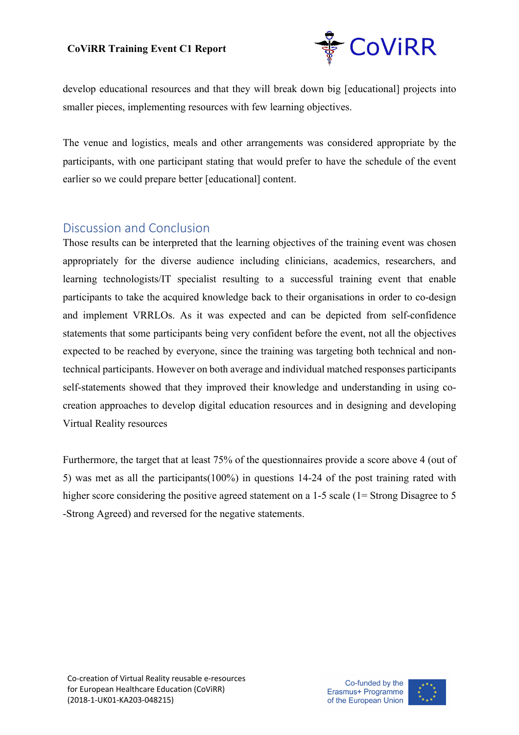

develop educational resources and that they will break down big [educational] projects into smaller pieces, implementing resources with few learning objectives.

The venue and logistics, meals and other arrangements was considered appropriate by the participants, with one participant stating that would prefer to have the schedule of the event earlier so we could prepare better [educational] content.

### Discussion and Conclusion

Those results can be interpreted that the learning objectives of the training event was chosen appropriately for the diverse audience including clinicians, academics, researchers, and learning technologists/IT specialist resulting to a successful training event that enable participants to take the acquired knowledge back to their organisations in order to co-design and implement VRRLOs. As it was expected and can be depicted from self-confidence statements that some participants being very confident before the event, not all the objectives expected to be reached by everyone, since the training was targeting both technical and nontechnical participants. However on both average and individual matched responses participants self-statements showed that they improved their knowledge and understanding in using cocreation approaches to develop digital education resources and in designing and developing Virtual Reality resources

Furthermore, the target that at least 75% of the questionnaires provide a score above 4 (out of 5) was met as all the participants(100%) in questions 14-24 of the post training rated with higher score considering the positive agreed statement on a 1-5 scale (1= Strong Disagree to 5 -Strong Agreed) and reversed for the negative statements.